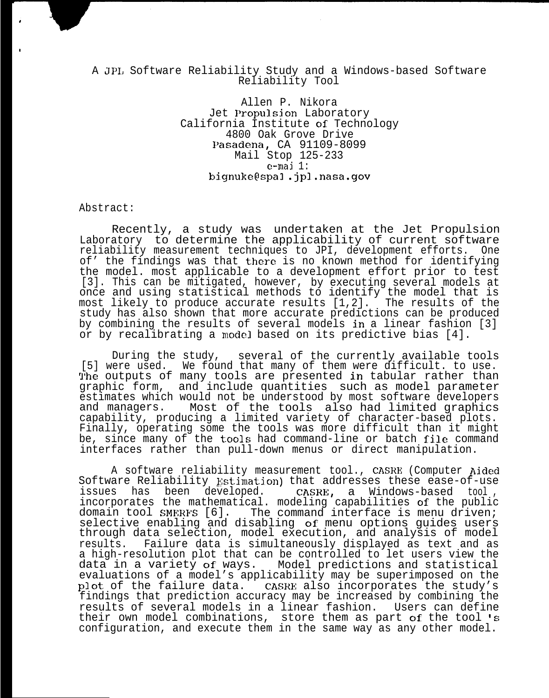## A JPI, Software Reliability Study and a Windows-based Software Reliability Tool

Allen P. Nikora Jet Propulsion Laboratory California Institute of Technology 4800 Oak Grove Drive l'asadena, CA 91109-8099 Mail Stop 125-233  $e$ -mai 1: bignuke@spal .jpl.nasa.gov

Abstract:

,

,

Recently, a study was undertaken at the Jet Propulsion Laboratory to determine the applicability of current software reliability measurement techniques to JPI, development efforts. One of' the findings was that there is no known method for identifying the model. most applicable to a development effort prior to test [3]. This can be mitigated, however, by executing several models at once and using statistical methods to identify the model that is most likely to produce accurate results [1,2]. The results of the study has also shown that more accurate predictions can be produced by combining the results of several models in a linear fashion [3] or by recalibrating a model based on its predictive bias [4].

During the study, several of the currently available tools [5] were used. We found that many of them were difficult. to use. The outputs of many tools are presented in tabular rather than graphic form, and include quantities such as model parameter estimates which would not be understood by most software developers and managers. Most of the tools also had limited graphics capability, producing a limited variety of character-based plots. Finally, operating some the tools was more difficult than it might be, since many of the tools had command-line or batch file command interfaces rather than pull-down menus or direct manipulation.

A software reliability measurement tool., CASRE (Computer Aided Software Reliability Estimation) that addresses these ease-of-use<br>issues has been developed. CASRE, a Windows-based tool, CASRE, a Windows-based tool, incorporates the mathematical. modeling capabilities of the public domain tool SMERFS [6]. The command interface is menu driven; selective enabling and disabling of menu options guides users through data selection, model execution, and analysis of model results. Failure data is simultaneously displayed as text and as a high-resolution plot that can be controlled to let users view the data in a variety of ways. Model predictions and statistical evaluations of a model's applicability may be superimposed on the plot of the failure data. CASRE also incorporates the study's findings that prediction accuracy may be increased by combining the results of several models in a linear fashion. Users can define their own model combinations, store them as part of the tool 's configuration, and execute them in the same way as any other model.